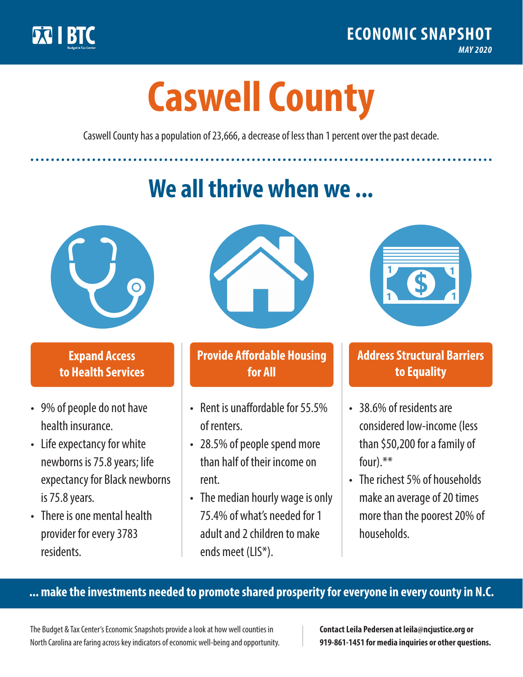

**1**

# **Caswell County**

Caswell County has a population of 23,666, a decrease of less than 1 percent over the past decade.

# **We all thrive when we ...**



**\$ <sup>1</sup>**

**\$ <sup>1</sup>**

## **Expand Access to Health Services**

- 9% of people do not have health insurance.
- Life expectancy for white newborns is 75.8years; life expectancy for Black newborns is 75.8years.
- There is one mental health provider for every 3783 residents.



## **Provide Affordable Housing for All**

- Rent is unaffordable for 55.5% of renters.
- 28.5% of people spend more than half of their income on rent.
- The median hourly wage is only 75.4% of what's needed for 1 adult and 2 children to make ends meet (LIS\*).



## **Address Structural Barriers to Equality**

- 38.6% of residents are considered low-income (less than \$50,200 for a family of four).\*\*
- The richest 5% of households make an average of 20 times more than the poorest 20% of households.

#### **... make the investments needed to promote shared prosperity for everyone in every county in N.C.**

The Budget & Tax Center's Economic Snapshots provide a look at how well counties in North Carolina are faring across key indicators of economic well-being and opportunity.